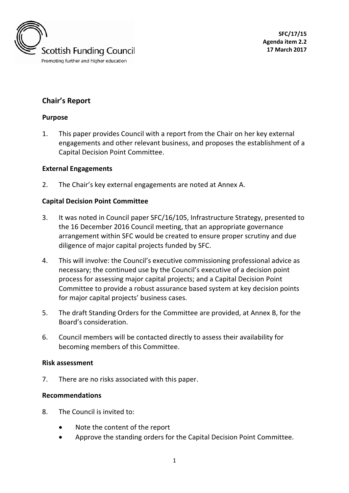

# **Chair's Report**

#### **Purpose**

1. This paper provides Council with a report from the Chair on her key external engagements and other relevant business, and proposes the establishment of a Capital Decision Point Committee.

#### **External Engagements**

2. The Chair's key external engagements are noted at Annex A.

#### **Capital Decision Point Committee**

- 3. It was noted in Council paper SFC/16/105, Infrastructure Strategy, presented to the 16 December 2016 Council meeting, that an appropriate governance arrangement within SFC would be created to ensure proper scrutiny and due diligence of major capital projects funded by SFC.
- 4. This will involve: the Council's executive commissioning professional advice as necessary; the continued use by the Council's executive of a decision point process for assessing major capital projects; and a Capital Decision Point Committee to provide a robust assurance based system at key decision points for major capital projects' business cases.
- 5. The draft Standing Orders for the Committee are provided, at Annex B, for the Board's consideration.
- 6. Council members will be contacted directly to assess their availability for becoming members of this Committee.

#### **Risk assessment**

7. There are no risks associated with this paper.

#### **Recommendations**

- 8. The Council is invited to:
	- Note the content of the report
	- Approve the standing orders for the Capital Decision Point Committee.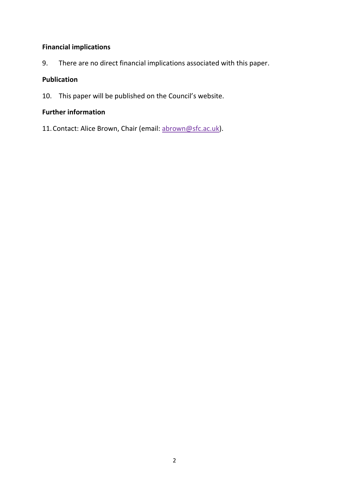## **Financial implications**

9. There are no direct financial implications associated with this paper.

# **Publication**

10. This paper will be published on the Council's website.

# **Further information**

11. Contact: Alice Brown, Chair (email: [abrown@sfc.ac.uk\)](mailto:abrown@sfc.ac.uk).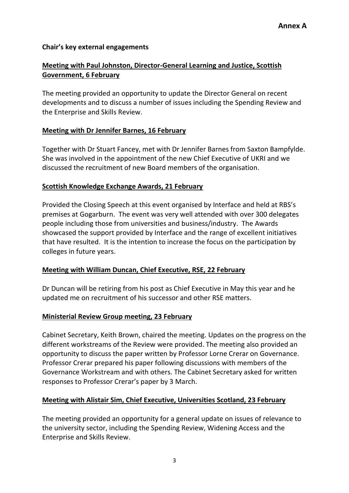# **Chair's key external engagements**

# **Meeting with Paul Johnston, Director-General Learning and Justice, Scottish Government, 6 February**

The meeting provided an opportunity to update the Director General on recent developments and to discuss a number of issues including the Spending Review and the Enterprise and Skills Review.

# **Meeting with Dr Jennifer Barnes, 16 February**

Together with Dr Stuart Fancey, met with Dr Jennifer Barnes from Saxton Bampfylde. She was involved in the appointment of the new Chief Executive of UKRI and we discussed the recruitment of new Board members of the organisation.

# **Scottish Knowledge Exchange Awards, 21 February**

Provided the Closing Speech at this event organised by Interface and held at RBS's premises at Gogarburn. The event was very well attended with over 300 delegates people including those from universities and business/industry. The Awards showcased the support provided by Interface and the range of excellent initiatives that have resulted. It is the intention to increase the focus on the participation by colleges in future years.

### **Meeting with William Duncan, Chief Executive, RSE, 22 February**

Dr Duncan will be retiring from his post as Chief Executive in May this year and he updated me on recruitment of his successor and other RSE matters.

### **Ministerial Review Group meeting, 23 February**

Cabinet Secretary, Keith Brown, chaired the meeting. Updates on the progress on the different workstreams of the Review were provided. The meeting also provided an opportunity to discuss the paper written by Professor Lorne Crerar on Governance. Professor Crerar prepared his paper following discussions with members of the Governance Workstream and with others. The Cabinet Secretary asked for written responses to Professor Crerar's paper by 3 March.

# **Meeting with Alistair Sim, Chief Executive, Universities Scotland, 23 February**

The meeting provided an opportunity for a general update on issues of relevance to the university sector, including the Spending Review, Widening Access and the Enterprise and Skills Review.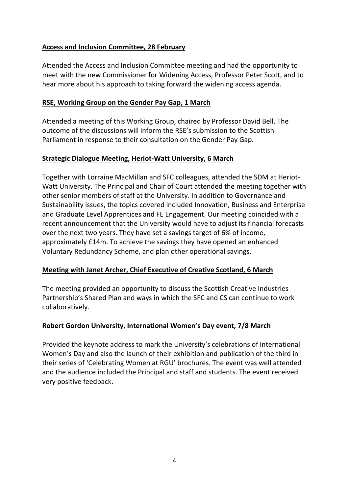### **Access and Inclusion Committee, 28 February**

Attended the Access and Inclusion Committee meeting and had the opportunity to meet with the new Commissioner for Widening Access, Professor Peter Scott, and to hear more about his approach to taking forward the widening access agenda.

# **RSE, Working Group on the Gender Pay Gap, 1 March**

Attended a meeting of this Working Group, chaired by Professor David Bell. The outcome of the discussions will inform the RSE's submission to the Scottish Parliament in response to their consultation on the Gender Pay Gap.

### **Strategic Dialogue Meeting, Heriot-Watt University, 6 March**

Together with Lorraine MacMillan and SFC colleagues, attended the SDM at Heriot-Watt University. The Principal and Chair of Court attended the meeting together with other senior members of staff at the University. In addition to Governance and Sustainability issues, the topics covered included Innovation, Business and Enterprise and Graduate Level Apprentices and FE Engagement. Our meeting coincided with a recent announcement that the University would have to adjust its financial forecasts over the next two years. They have set a savings target of 6% of income, approximately £14m. To achieve the savings they have opened an enhanced Voluntary Redundancy Scheme, and plan other operational savings.

### **Meeting with Janet Archer, Chief Executive of Creative Scotland, 6 March**

The meeting provided an opportunity to discuss the Scottish Creative Industries Partnership's Shared Plan and ways in which the SFC and CS can continue to work collaboratively.

# **Robert Gordon University, International Women's Day event, 7/8 March**

Provided the keynote address to mark the University's celebrations of International Women's Day and also the launch of their exhibition and publication of the third in their series of 'Celebrating Women at RGU' brochures. The event was well attended and the audience included the Principal and staff and students. The event received very positive feedback.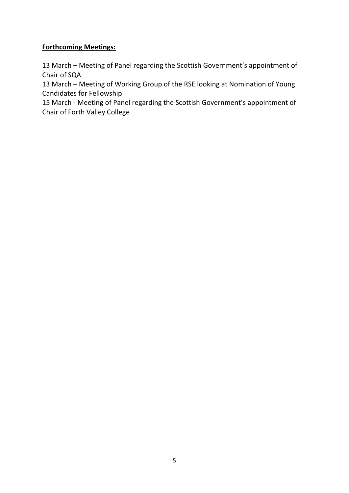# **Forthcoming Meetings:**

13 March – Meeting of Panel regarding the Scottish Government's appointment of Chair of SQA

13 March – Meeting of Working Group of the RSE looking at Nomination of Young Candidates for Fellowship

15 March - Meeting of Panel regarding the Scottish Government's appointment of Chair of Forth Valley College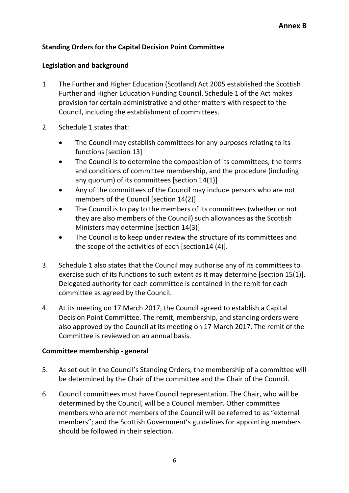# **Standing Orders for the Capital Decision Point Committee**

#### **Legislation and background**

- 1. The Further and Higher Education (Scotland) Act 2005 established the Scottish Further and Higher Education Funding Council. Schedule 1 of the Act makes provision for certain administrative and other matters with respect to the Council, including the establishment of committees.
- 2. Schedule 1 states that:
	- The Council may establish committees for any purposes relating to its functions [section 13]
	- The Council is to determine the composition of its committees, the terms and conditions of committee membership, and the procedure (including any quorum) of its committees [section 14(1)]
	- Any of the committees of the Council may include persons who are not members of the Council [section 14(2)]
	- The Council is to pay to the members of its committees (whether or not they are also members of the Council) such allowances as the Scottish Ministers may determine [section 14(3)]
	- The Council is to keep under review the structure of its committees and the scope of the activities of each [section14 (4)].
- 3. Schedule 1 also states that the Council may authorise any of its committees to exercise such of its functions to such extent as it may determine [section 15(1)]. Delegated authority for each committee is contained in the remit for each committee as agreed by the Council.
- 4. At its meeting on 17 March 2017, the Council agreed to establish a Capital Decision Point Committee. The remit, membership, and standing orders were also approved by the Council at its meeting on 17 March 2017. The remit of the Committee is reviewed on an annual basis.

### **Committee membership - general**

- 5. As set out in the Council's Standing Orders, the membership of a committee will be determined by the Chair of the committee and the Chair of the Council.
- 6. Council committees must have Council representation. The Chair, who will be determined by the Council, will be a Council member. Other committee members who are not members of the Council will be referred to as "external members"; and the Scottish Government's guidelines for appointing members should be followed in their selection.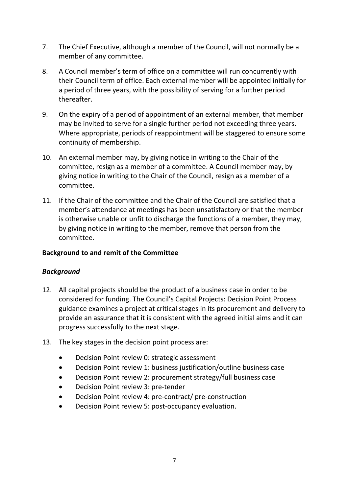- 7. The Chief Executive, although a member of the Council, will not normally be a member of any committee.
- 8. A Council member's term of office on a committee will run concurrently with their Council term of office. Each external member will be appointed initially for a period of three years, with the possibility of serving for a further period thereafter.
- 9. On the expiry of a period of appointment of an external member, that member may be invited to serve for a single further period not exceeding three years. Where appropriate, periods of reappointment will be staggered to ensure some continuity of membership.
- 10. An external member may, by giving notice in writing to the Chair of the committee, resign as a member of a committee. A Council member may, by giving notice in writing to the Chair of the Council, resign as a member of a committee.
- 11. If the Chair of the committee and the Chair of the Council are satisfied that a member's attendance at meetings has been unsatisfactory or that the member is otherwise unable or unfit to discharge the functions of a member, they may, by giving notice in writing to the member, remove that person from the committee.

### **Background to and remit of the Committee**

### *Background*

- 12. All capital projects should be the product of a business case in order to be considered for funding. The Council's Capital Projects: Decision Point Process guidance examines a project at critical stages in its procurement and delivery to provide an assurance that it is consistent with the agreed initial aims and it can progress successfully to the next stage.
- 13. The key stages in the decision point process are:
	- Decision Point review 0: strategic assessment
	- Decision Point review 1: business justification/outline business case
	- Decision Point review 2: procurement strategy/full business case
	- Decision Point review 3: pre-tender
	- Decision Point review 4: pre-contract/ pre-construction
	- Decision Point review 5: post-occupancy evaluation.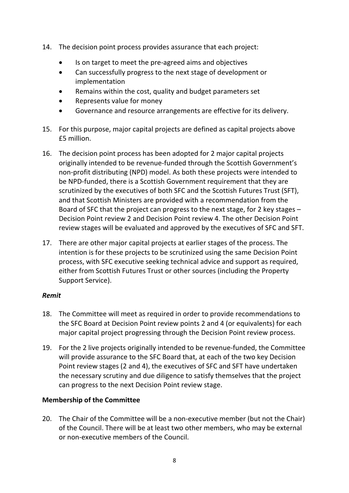- 14. The decision point process provides assurance that each project:
	- Is on target to meet the pre-agreed aims and objectives
	- Can successfully progress to the next stage of development or implementation
	- Remains within the cost, quality and budget parameters set
	- Represents value for money
	- Governance and resource arrangements are effective for its delivery.
- 15. For this purpose, major capital projects are defined as capital projects above £5 million.
- 16. The decision point process has been adopted for 2 major capital projects originally intended to be revenue-funded through the Scottish Government's non-profit distributing (NPD) model. As both these projects were intended to be NPD-funded, there is a Scottish Government requirement that they are scrutinized by the executives of both SFC and the Scottish Futures Trust (SFT), and that Scottish Ministers are provided with a recommendation from the Board of SFC that the project can progress to the next stage, for 2 key stages – Decision Point review 2 and Decision Point review 4. The other Decision Point review stages will be evaluated and approved by the executives of SFC and SFT.
- 17. There are other major capital projects at earlier stages of the process. The intention is for these projects to be scrutinized using the same Decision Point process, with SFC executive seeking technical advice and support as required, either from Scottish Futures Trust or other sources (including the Property Support Service).

### *Remit*

- 18. The Committee will meet as required in order to provide recommendations to the SFC Board at Decision Point review points 2 and 4 (or equivalents) for each major capital project progressing through the Decision Point review process.
- 19. For the 2 live projects originally intended to be revenue-funded, the Committee will provide assurance to the SFC Board that, at each of the two key Decision Point review stages (2 and 4), the executives of SFC and SFT have undertaken the necessary scrutiny and due diligence to satisfy themselves that the project can progress to the next Decision Point review stage.

# **Membership of the Committee**

20. The Chair of the Committee will be a non-executive member (but not the Chair) of the Council. There will be at least two other members, who may be external or non-executive members of the Council.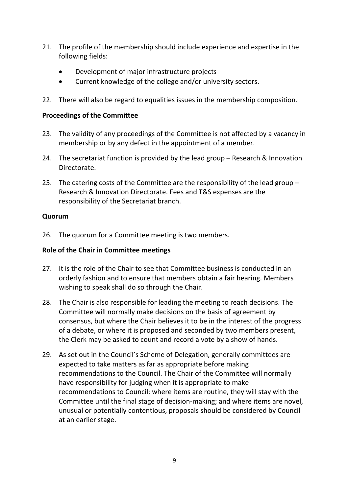- 21. The profile of the membership should include experience and expertise in the following fields:
	- Development of major infrastructure projects
	- Current knowledge of the college and/or university sectors.
- 22. There will also be regard to equalities issues in the membership composition.

#### **Proceedings of the Committee**

- 23. The validity of any proceedings of the Committee is not affected by a vacancy in membership or by any defect in the appointment of a member.
- 24. The secretariat function is provided by the lead group Research & Innovation Directorate.
- 25. The catering costs of the Committee are the responsibility of the lead group Research & Innovation Directorate. Fees and T&S expenses are the responsibility of the Secretariat branch.

#### **Quorum**

26. The quorum for a Committee meeting is two members.

#### **Role of the Chair in Committee meetings**

- 27. It is the role of the Chair to see that Committee business is conducted in an orderly fashion and to ensure that members obtain a fair hearing. Members wishing to speak shall do so through the Chair.
- 28. The Chair is also responsible for leading the meeting to reach decisions. The Committee will normally make decisions on the basis of agreement by consensus, but where the Chair believes it to be in the interest of the progress of a debate, or where it is proposed and seconded by two members present, the Clerk may be asked to count and record a vote by a show of hands.
- 29. As set out in the Council's Scheme of Delegation, generally committees are expected to take matters as far as appropriate before making recommendations to the Council. The Chair of the Committee will normally have responsibility for judging when it is appropriate to make recommendations to Council: where items are routine, they will stay with the Committee until the final stage of decision-making; and where items are novel, unusual or potentially contentious, proposals should be considered by Council at an earlier stage.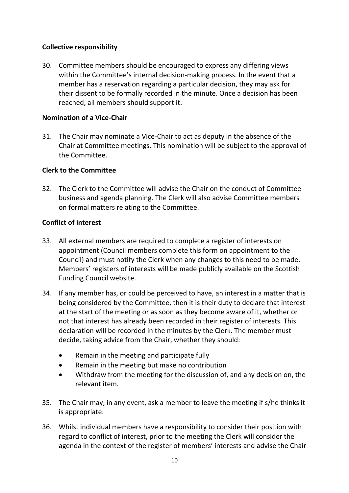# **Collective responsibility**

30. Committee members should be encouraged to express any differing views within the Committee's internal decision-making process. In the event that a member has a reservation regarding a particular decision, they may ask for their dissent to be formally recorded in the minute. Once a decision has been reached, all members should support it.

## **Nomination of a Vice-Chair**

31. The Chair may nominate a Vice-Chair to act as deputy in the absence of the Chair at Committee meetings. This nomination will be subject to the approval of the Committee.

# **Clerk to the Committee**

32. The Clerk to the Committee will advise the Chair on the conduct of Committee business and agenda planning. The Clerk will also advise Committee members on formal matters relating to the Committee.

### **Conflict of interest**

- 33. All external members are required to complete a register of interests on appointment (Council members complete this form on appointment to the Council) and must notify the Clerk when any changes to this need to be made. Members' registers of interests will be made publicly available on the Scottish Funding Council website.
- 34. If any member has, or could be perceived to have, an interest in a matter that is being considered by the Committee, then it is their duty to declare that interest at the start of the meeting or as soon as they become aware of it, whether or not that interest has already been recorded in their register of interests. This declaration will be recorded in the minutes by the Clerk. The member must decide, taking advice from the Chair, whether they should:
	- Remain in the meeting and participate fully
	- Remain in the meeting but make no contribution
	- Withdraw from the meeting for the discussion of, and any decision on, the relevant item.
- 35. The Chair may, in any event, ask a member to leave the meeting if s/he thinks it is appropriate.
- 36. Whilst individual members have a responsibility to consider their position with regard to conflict of interest, prior to the meeting the Clerk will consider the agenda in the context of the register of members' interests and advise the Chair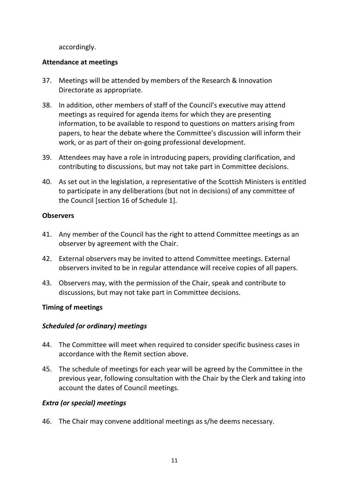accordingly.

### **Attendance at meetings**

- 37. Meetings will be attended by members of the Research & Innovation Directorate as appropriate.
- 38. In addition, other members of staff of the Council's executive may attend meetings as required for agenda items for which they are presenting information, to be available to respond to questions on matters arising from papers, to hear the debate where the Committee's discussion will inform their work, or as part of their on-going professional development.
- 39. Attendees may have a role in introducing papers, providing clarification, and contributing to discussions, but may not take part in Committee decisions.
- 40. As set out in the legislation, a representative of the Scottish Ministers is entitled to participate in any deliberations (but not in decisions) of any committee of the Council [section 16 of Schedule 1].

### **Observers**

- 41. Any member of the Council has the right to attend Committee meetings as an observer by agreement with the Chair.
- 42. External observers may be invited to attend Committee meetings. External observers invited to be in regular attendance will receive copies of all papers.
- 43. Observers may, with the permission of the Chair, speak and contribute to discussions, but may not take part in Committee decisions.

# **Timing of meetings**

# *Scheduled (or ordinary) meetings*

- 44. The Committee will meet when required to consider specific business cases in accordance with the Remit section above.
- 45. The schedule of meetings for each year will be agreed by the Committee in the previous year, following consultation with the Chair by the Clerk and taking into account the dates of Council meetings.

### *Extra (or special) meetings*

46. The Chair may convene additional meetings as s/he deems necessary.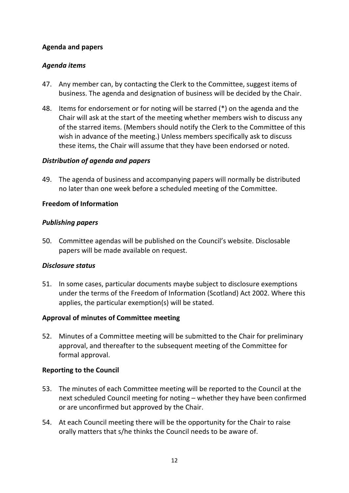### **Agenda and papers**

#### *Agenda items*

- 47. Any member can, by contacting the Clerk to the Committee, suggest items of business. The agenda and designation of business will be decided by the Chair.
- 48. Items for endorsement or for noting will be starred (\*) on the agenda and the Chair will ask at the start of the meeting whether members wish to discuss any of the starred items. (Members should notify the Clerk to the Committee of this wish in advance of the meeting.) Unless members specifically ask to discuss these items, the Chair will assume that they have been endorsed or noted.

#### *Distribution of agenda and papers*

49. The agenda of business and accompanying papers will normally be distributed no later than one week before a scheduled meeting of the Committee.

#### **Freedom of Information**

#### *Publishing papers*

50. Committee agendas will be published on the Council's website. Disclosable papers will be made available on request.

#### *Disclosure status*

51. In some cases, particular documents maybe subject to disclosure exemptions under the terms of the Freedom of Information (Scotland) Act 2002. Where this applies, the particular exemption(s) will be stated.

### **Approval of minutes of Committee meeting**

52. Minutes of a Committee meeting will be submitted to the Chair for preliminary approval, and thereafter to the subsequent meeting of the Committee for formal approval.

#### **Reporting to the Council**

- 53. The minutes of each Committee meeting will be reported to the Council at the next scheduled Council meeting for noting – whether they have been confirmed or are unconfirmed but approved by the Chair.
- 54. At each Council meeting there will be the opportunity for the Chair to raise orally matters that s/he thinks the Council needs to be aware of.